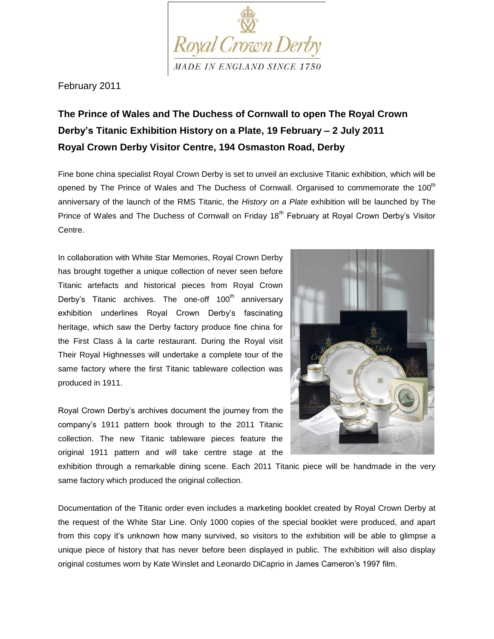

February 2011

## **The Prince of Wales and The Duchess of Cornwall to open The Royal Crown Derby's Titanic Exhibition History on a Plate, 19 February – 2 July 2011 Royal Crown Derby Visitor Centre, 194 Osmaston Road, Derby**

Fine bone china specialist Royal Crown Derby is set to unveil an exclusive Titanic exhibition, which will be opened by The Prince of Wales and The Duchess of Cornwall. Organised to commemorate the 100<sup>th</sup> anniversary of the launch of the RMS Titanic, the *History on a Plate* exhibition will be launched by The Prince of Wales and The Duchess of Cornwall on Friday 18<sup>th</sup> February at Royal Crown Derby's Visitor Centre.

In collaboration with White Star Memories, Royal Crown Derby has brought together a unique collection of never seen before Titanic artefacts and historical pieces from Royal Crown Derby's Titanic archives. The one-off  $100<sup>th</sup>$  anniversary exhibition underlines Royal Crown Derby's fascinating heritage, which saw the Derby factory produce fine china for the First Class á la carte restaurant. During the Royal visit Their Royal Highnesses will undertake a complete tour of the same factory where the first Titanic tableware collection was produced in 1911.

Royal Crown Derby's archives document the journey from the company's 1911 pattern book through to the 2011 Titanic collection. The new Titanic tableware pieces feature the original 1911 pattern and will take centre stage at the



exhibition through a remarkable dining scene. Each 2011 Titanic piece will be handmade in the very same factory which produced the original collection.

Documentation of the Titanic order even includes a marketing booklet created by Royal Crown Derby at the request of the White Star Line. Only 1000 copies of the special booklet were produced, and apart from this copy it's unknown how many survived, so visitors to the exhibition will be able to glimpse a unique piece of history that has never before been displayed in public. The exhibition will also display original costumes worn by Kate Winslet and Leonardo DiCaprio in James Cameron's 1997 film.